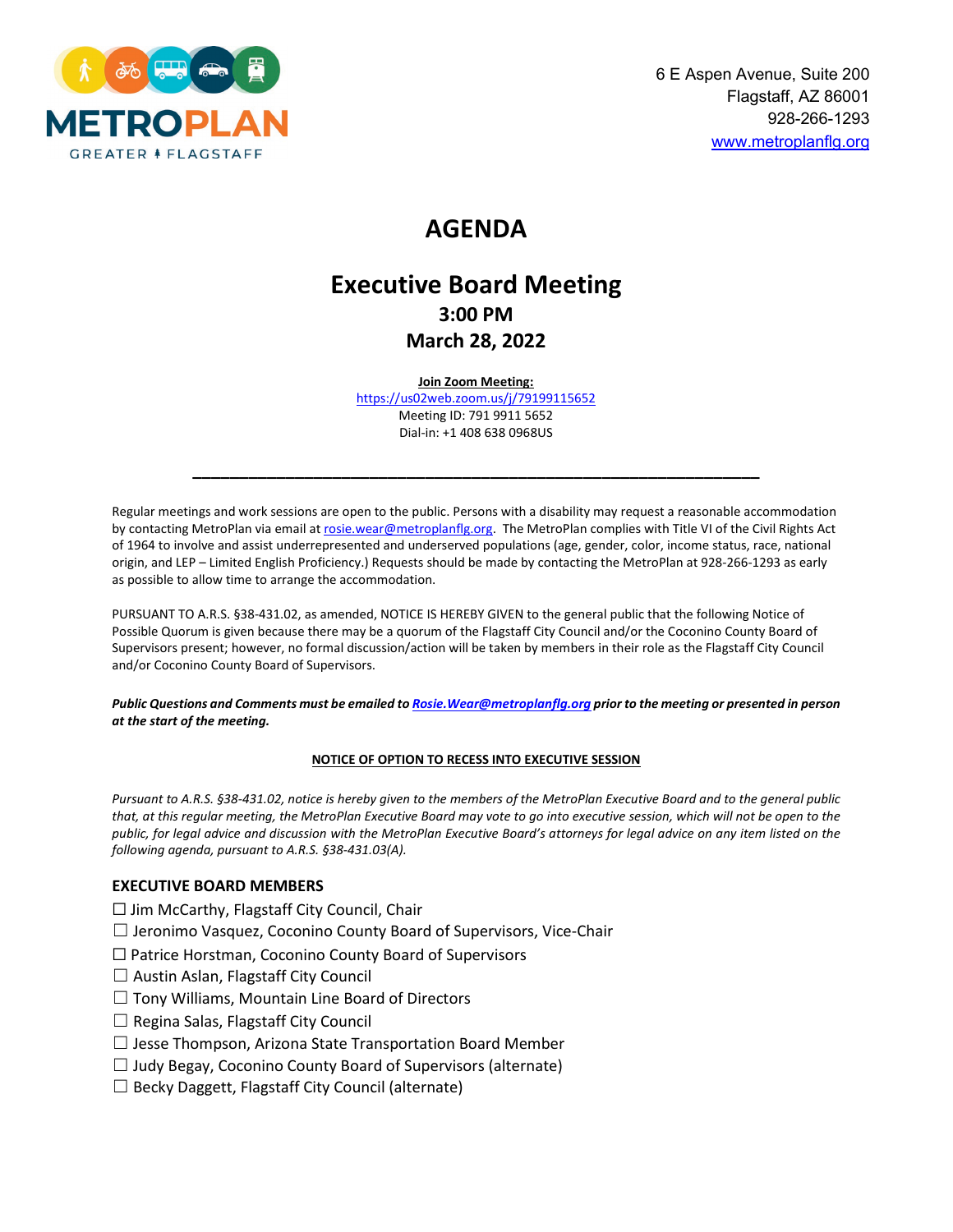

# **AGENDA**

## **Executive Board Meeting 3:00 PM March 28, 2022**

#### **Join Zoom Meeting:**

<https://us02web.zoom.us/j/79199115652> Meeting ID: 791 9911 5652 Dial-in: +1 408 638 0968US

**\_\_\_\_\_\_\_\_\_\_\_\_\_\_\_\_\_\_\_\_\_\_\_\_\_\_\_\_\_\_\_\_\_\_\_\_\_\_\_\_\_\_\_\_\_\_\_\_\_\_\_\_\_\_\_\_\_\_\_\_\_**

Regular meetings and work sessions are open to the public. Persons with a disability may request a reasonable accommodation by contacting MetroPlan via email at rosie.wear@metroplanflg.org. The MetroPlan complies with Title VI of the Civil Rights Act of 1964 to involve and assist underrepresented and underserved populations (age, gender, color, income status, race, national origin, and LEP – Limited English Proficiency.) Requests should be made by contacting the MetroPlan at 928-266-1293 as early as possible to allow time to arrange the accommodation.

PURSUANT TO A.R.S. §38-431.02, as amended, NOTICE IS HEREBY GIVEN to the general public that the following Notice of Possible Quorum is given because there may be a quorum of the Flagstaff City Council and/or the Coconino County Board of Supervisors present; however, no formal discussion/action will be taken by members in their role as the Flagstaff City Council and/or Coconino County Board of Supervisors.

*Public Questions and Comments must be emailed t[o Rosie.Wear@metroplanflg.org](mailto:Rosie.Wear@metroplanflg.org) prior to the meeting or presented in person at the start of the meeting.* 

#### **NOTICE OF OPTION TO RECESS INTO EXECUTIVE SESSION**

*Pursuant to A.R.S. §38-431.02, notice is hereby given to the members of the MetroPlan Executive Board and to the general public that, at this regular meeting, the MetroPlan Executive Board may vote to go into executive session, which will not be open to the public, for legal advice and discussion with the MetroPlan Executive Board's attorneys for legal advice on any item listed on the following agenda, pursuant to A.R.S. §38-431.03(A).* 

#### **EXECUTIVE BOARD MEMBERS**

☐ Jim McCarthy, Flagstaff City Council, Chair

- ☐ Jeronimo Vasquez, Coconino County Board of Supervisors, Vice-Chair
- ☐ Patrice Horstman, Coconino County Board of Supervisors
- $\Box$  Austin Aslan, Flagstaff City Council
- ☐ Tony Williams, Mountain Line Board of Directors
- $\Box$  Regina Salas, Flagstaff City Council
- $\Box$  Jesse Thompson, Arizona State Transportation Board Member
- $\Box$  Judy Begay, Coconino County Board of Supervisors (alternate)
- $\Box$  Becky Daggett, Flagstaff City Council (alternate)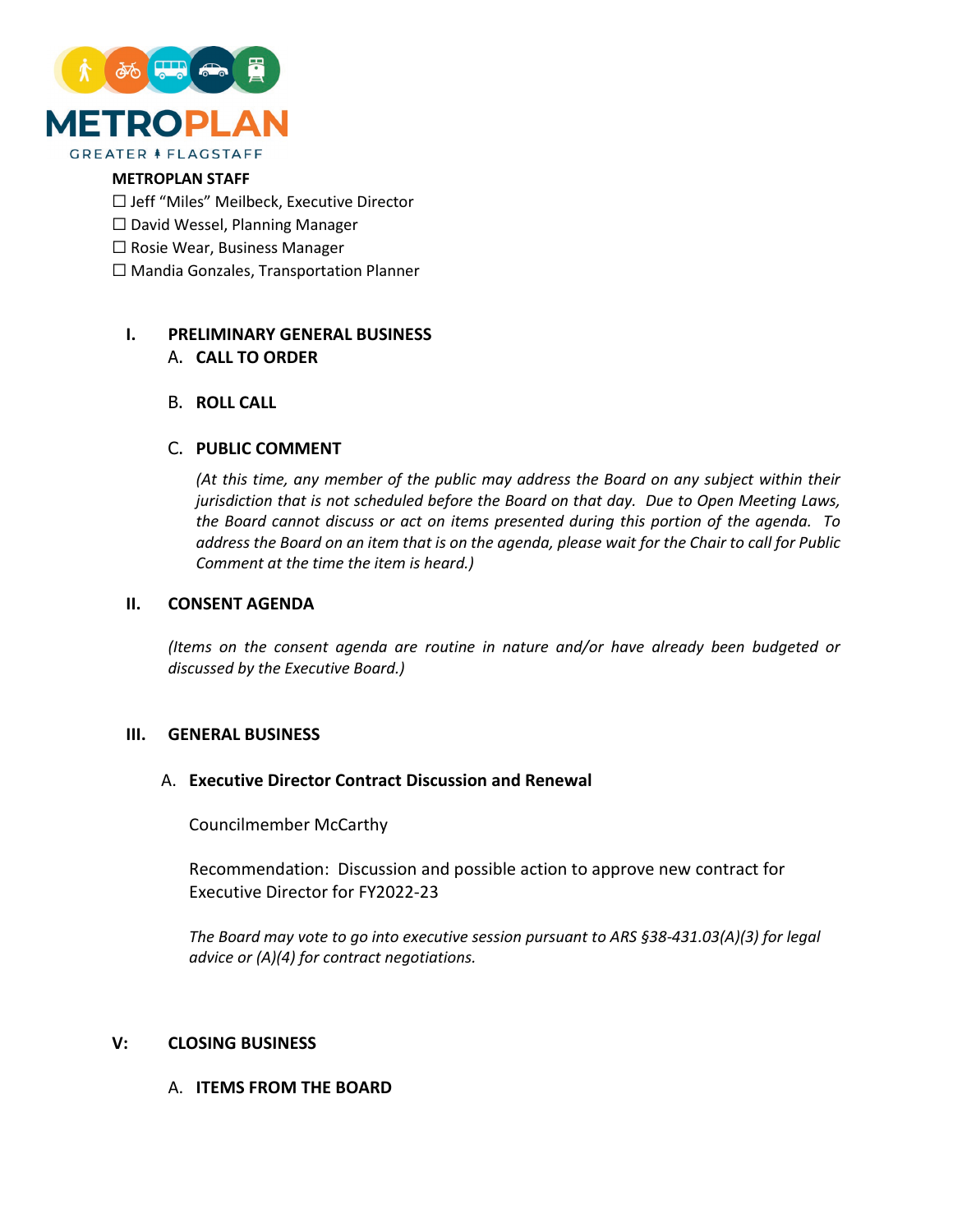

#### **METROPLAN STAFF**

☐ Jeff "Miles" Meilbeck, Executive Director

- ☐ David Wessel, Planning Manager
- ☐ Rosie Wear, Business Manager
- ☐ Mandia Gonzales, Transportation Planner

## **I. PRELIMINARY GENERAL BUSINESS**

## A. **CALL TO ORDER**

## B. **ROLL CALL**

## C. **PUBLIC COMMENT**

*(At this time, any member of the public may address the Board on any subject within their jurisdiction that is not scheduled before the Board on that day. Due to Open Meeting Laws, the Board cannot discuss or act on items presented during this portion of the agenda. To address the Board on an item that is on the agenda, please wait for the Chair to call for Public Comment at the time the item is heard.)*

#### **II. CONSENT AGENDA**

*(Items on the consent agenda are routine in nature and/or have already been budgeted or discussed by the Executive Board.)*

#### **III. GENERAL BUSINESS**

#### A. **Executive Director Contract Discussion and Renewal**

Councilmember McCarthy

Recommendation: Discussion and possible action to approve new contract for Executive Director for FY2022-23

*The Board may vote to go into executive session pursuant to ARS §38-431.03(A)(3) for legal advice or (A)(4) for contract negotiations.*

#### **V: CLOSING BUSINESS**

#### A. **ITEMS FROM THE BOARD**